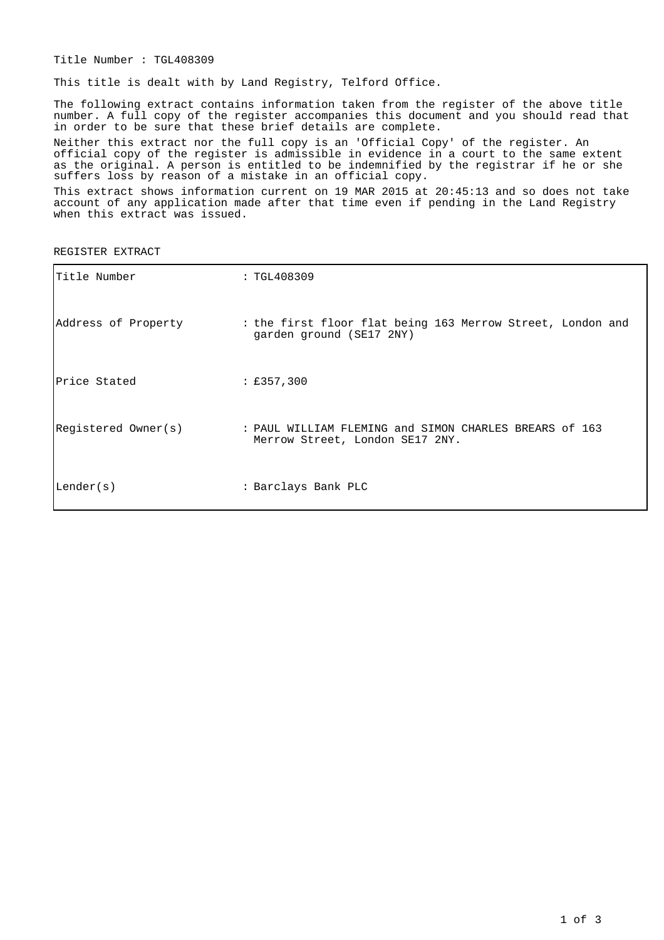Title Number : TGL408309

This title is dealt with by Land Registry, Telford Office.

The following extract contains information taken from the register of the above title number. A full copy of the register accompanies this document and you should read that in order to be sure that these brief details are complete.

Neither this extract nor the full copy is an 'Official Copy' of the register. An official copy of the register is admissible in evidence in a court to the same extent as the original. A person is entitled to be indemnified by the registrar if he or she suffers loss by reason of a mistake in an official copy.

This extract shows information current on 19 MAR 2015 at 20:45:13 and so does not take account of any application made after that time even if pending in the Land Registry when this extract was issued.

REGISTER EXTRACT

| Title Number        | : TGL408309                                                                               |
|---------------------|-------------------------------------------------------------------------------------------|
| Address of Property | : the first floor flat being 163 Merrow Street, London and<br>garden ground (SE17 2NY)    |
| Price Stated        | : £357,300                                                                                |
| Registered Owner(s) | : PAUL WILLIAM FLEMING and SIMON CHARLES BREARS of 163<br>Merrow Street, London SE17 2NY. |
| Lender(s)           | : Barclays Bank PLC                                                                       |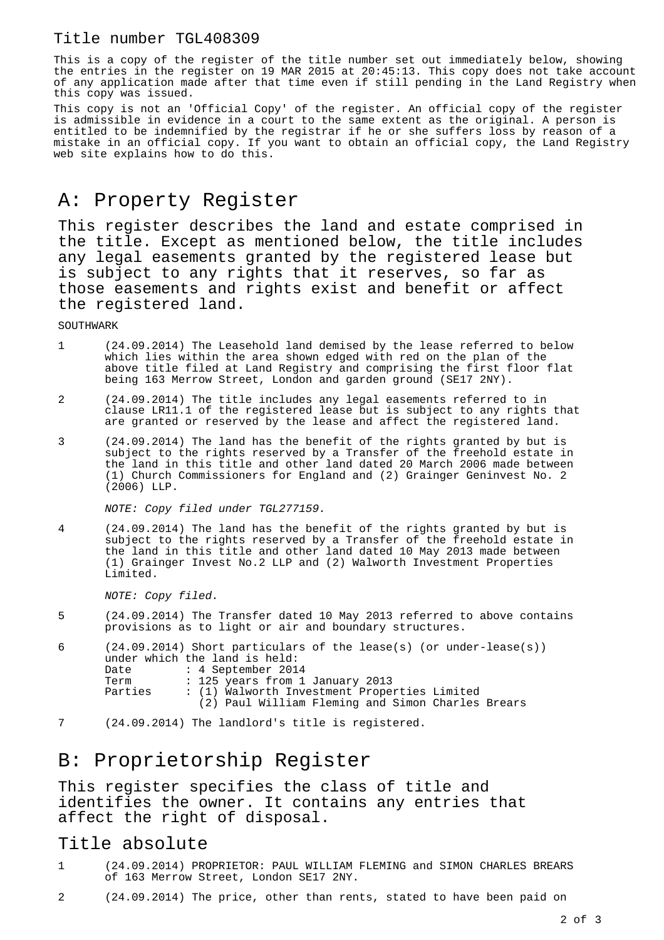### Title number TGL408309

This is a copy of the register of the title number set out immediately below, showing the entries in the register on 19 MAR 2015 at 20:45:13. This copy does not take account of any application made after that time even if still pending in the Land Registry when this copy was issued.

This copy is not an 'Official Copy' of the register. An official copy of the register is admissible in evidence in a court to the same extent as the original. A person is entitled to be indemnified by the registrar if he or she suffers loss by reason of a mistake in an official copy. If you want to obtain an official copy, the Land Registry web site explains how to do this.

## A: Property Register

This register describes the land and estate comprised in the title. Except as mentioned below, the title includes any legal easements granted by the registered lease but is subject to any rights that it reserves, so far as those easements and rights exist and benefit or affect the registered land.

SOUTHWARK

- 1 (24.09.2014) The Leasehold land demised by the lease referred to below which lies within the area shown edged with red on the plan of the above title filed at Land Registry and comprising the first floor flat being 163 Merrow Street, London and garden ground (SE17 2NY).
- 2 (24.09.2014) The title includes any legal easements referred to in clause LR11.1 of the registered lease but is subject to any rights that are granted or reserved by the lease and affect the registered land.
- 3 (24.09.2014) The land has the benefit of the rights granted by but is subject to the rights reserved by a Transfer of the freehold estate in the land in this title and other land dated 20 March 2006 made between (1) Church Commissioners for England and (2) Grainger Geninvest No. 2 (2006) LLP.

NOTE: Copy filed under TGL277159.

4 (24.09.2014) The land has the benefit of the rights granted by but is subject to the rights reserved by a Transfer of the freehold estate in the land in this title and other land dated 10 May 2013 made between (1) Grainger Invest No.2 LLP and (2) Walworth Investment Properties Limited.

NOTE: Copy filed.

5 (24.09.2014) The Transfer dated 10 May 2013 referred to above contains provisions as to light or air and boundary structures.

| 6       |                                              | $(24.09.2014)$ Short particulars of the lease(s) (or under-lease(s)) |
|---------|----------------------------------------------|----------------------------------------------------------------------|
|         |                                              | under which the land is held:                                        |
|         | Date                                         | : 4 September 2014                                                   |
|         | Term                                         | : 125 years from 1 January 2013                                      |
| Parties | : (1) Walworth Investment Properties Limited |                                                                      |
|         |                                              | (2) Paul William Fleming and Simon Charles Brears                    |

7 (24.09.2014) The landlord's title is registered.

# B: Proprietorship Register

This register specifies the class of title and identifies the owner. It contains any entries that affect the right of disposal.

#### Title absolute

- 1 (24.09.2014) PROPRIETOR: PAUL WILLIAM FLEMING and SIMON CHARLES BREARS of 163 Merrow Street, London SE17 2NY.
- 2 (24.09.2014) The price, other than rents, stated to have been paid on